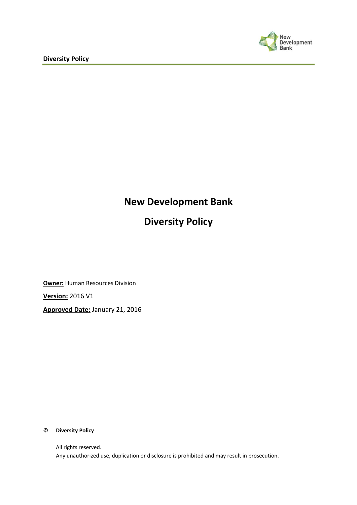

# **New Development Bank**

# **Diversity Policy**

**Owner:** Human Resources Division **Version:** 2016 V1 **Approved Date:** January 21, 2016

#### **© Diversity Policy**

All rights reserved. Any unauthorized use, duplication or disclosure is prohibited and may result in prosecution.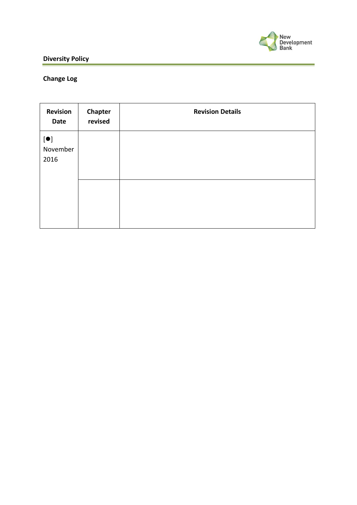

# **Diversity Policy**

# **Change Log**

| <b>Revision</b><br>Date                       | Chapter<br>revised | <b>Revision Details</b> |
|-----------------------------------------------|--------------------|-------------------------|
| $\lbrack \bullet \rbrack$<br>November<br>2016 |                    |                         |
|                                               |                    |                         |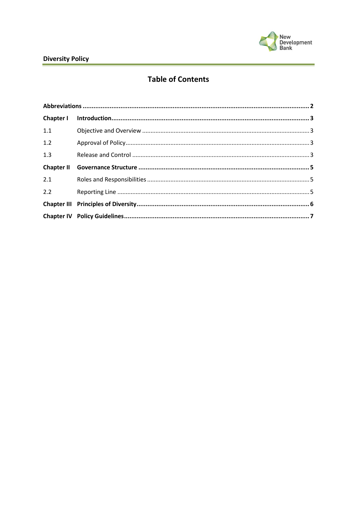

# **Table of Contents**

| 1.1 |  |  |  |
|-----|--|--|--|
| 1.2 |  |  |  |
| 1.3 |  |  |  |
|     |  |  |  |
| 2.1 |  |  |  |
| 2.2 |  |  |  |
|     |  |  |  |
|     |  |  |  |
|     |  |  |  |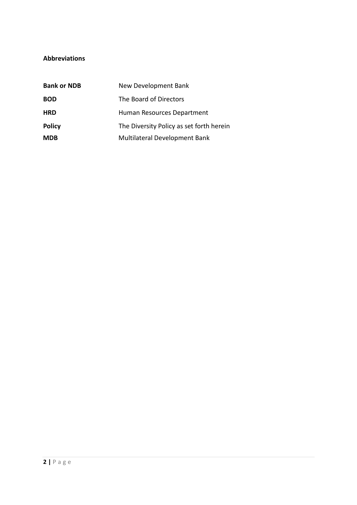#### <span id="page-3-0"></span>**Abbreviations**

| <b>Bank or NDB</b> | New Development Bank                     |
|--------------------|------------------------------------------|
| <b>BOD</b>         | The Board of Directors                   |
| <b>HRD</b>         | Human Resources Department               |
| <b>Policy</b>      | The Diversity Policy as set forth herein |
| <b>MDB</b>         | Multilateral Development Bank            |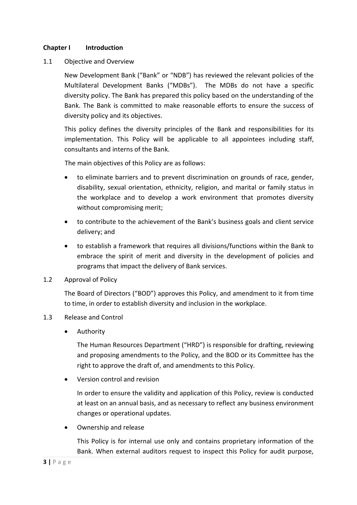#### <span id="page-4-0"></span>**Chapter I Introduction**

<span id="page-4-1"></span>1.1 Objective and Overview

New Development Bank ("Bank" or "NDB") has reviewed the relevant policies of the Multilateral Development Banks ("MDBs"). The MDBs do not have a specific diversity policy. The Bank has prepared this policy based on the understanding of the Bank. The Bank is committed to make reasonable efforts to ensure the success of diversity policy and its objectives.

This policy defines the diversity principles of the Bank and responsibilities for its implementation. This Policy will be applicable to all appointees including staff, consultants and interns of the Bank.

The main objectives of this Policy are as follows:

- to eliminate barriers and to prevent discrimination on grounds of race, gender, disability, sexual orientation, ethnicity, religion, and marital or family status in the workplace and to develop a work environment that promotes diversity without compromising merit;
- to contribute to the achievement of the Bank's business goals and client service delivery; and
- to establish a framework that requires all divisions/functions within the Bank to embrace the spirit of merit and diversity in the development of policies and programs that impact the delivery of Bank services.

#### <span id="page-4-2"></span>1.2 Approval of Policy

The Board of Directors ("BOD") approves this Policy, and amendment to it from time to time, in order to establish diversity and inclusion in the workplace.

#### <span id="page-4-3"></span>1.3 Release and Control

Authority

The Human Resources Department ("HRD") is responsible for drafting, reviewing and proposing amendments to the Policy, and the BOD or its Committee has the right to approve the draft of, and amendments to this Policy.

Version control and revision

In order to ensure the validity and application of this Policy, review is conducted at least on an annual basis, and as necessary to reflect any business environment changes or operational updates.

Ownership and release

This Policy is for internal use only and contains proprietary information of the Bank. When external auditors request to inspect this Policy for audit purpose,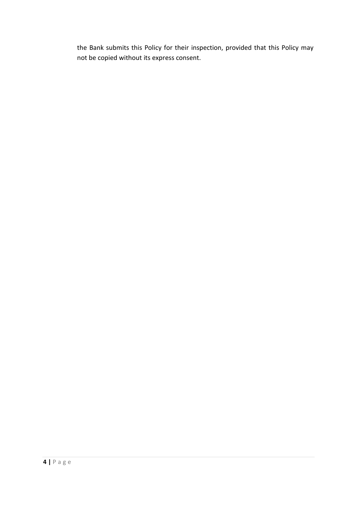the Bank submits this Policy for their inspection, provided that this Policy may not be copied without its express consent.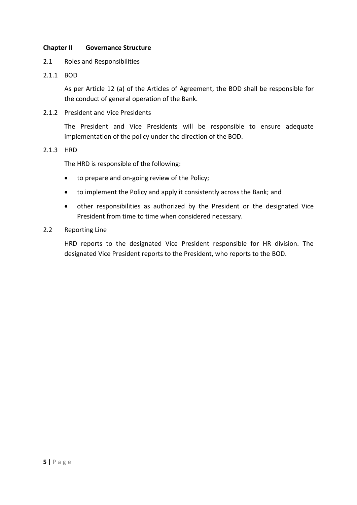#### <span id="page-6-0"></span>**Chapter II Governance Structure**

- <span id="page-6-1"></span>2.1 Roles and Responsibilities
- 2.1.1 BOD

As per Article 12 (a) of the Articles of Agreement, the BOD shall be responsible for the conduct of general operation of the Bank.

2.1.2 President and Vice Presidents

The President and Vice Presidents will be responsible to ensure adequate implementation of the policy under the direction of the BOD.

2.1.3 HRD

The HRD is responsible of the following:

- to prepare and on-going review of the Policy;
- to implement the Policy and apply it consistently across the Bank; and
- other responsibilities as authorized by the President or the designated Vice President from time to time when considered necessary.
- <span id="page-6-2"></span>2.2 Reporting Line

HRD reports to the designated Vice President responsible for HR division. The designated Vice President reports to the President, who reports to the BOD.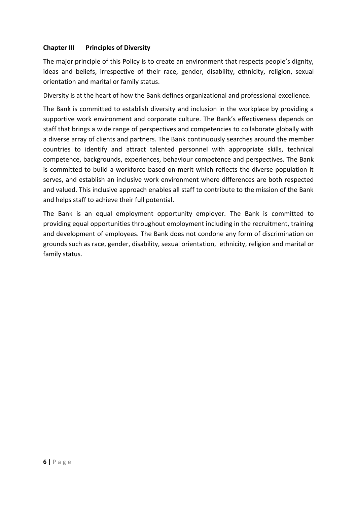### <span id="page-7-0"></span>**Chapter III Principles of Diversity**

The major principle of this Policy is to create an environment that respects people's dignity, ideas and beliefs, irrespective of their race, gender, disability, ethnicity, religion, sexual orientation and marital or family status.

Diversity is at the heart of how the Bank defines organizational and professional excellence.

The Bank is committed to establish diversity and inclusion in the workplace by providing a supportive work environment and corporate culture. The Bank's effectiveness depends on staff that brings a wide range of perspectives and competencies to collaborate globally with a diverse array of clients and partners. The Bank continuously searches around the member countries to identify and attract talented personnel with appropriate skills, technical competence, backgrounds, experiences, behaviour competence and perspectives. The Bank is committed to build a workforce based on merit which reflects the diverse population it serves, and establish an inclusive work environment where differences are both respected and valued. This inclusive approach enables all staff to contribute to the mission of the Bank and helps staff to achieve their full potential.

The Bank is an equal employment opportunity employer. The Bank is committed to providing equal opportunities throughout employment including in the recruitment, training and development of employees. The Bank does not condone any form of discrimination on grounds such as race, gender, disability, sexual orientation, ethnicity, religion and marital or family status.